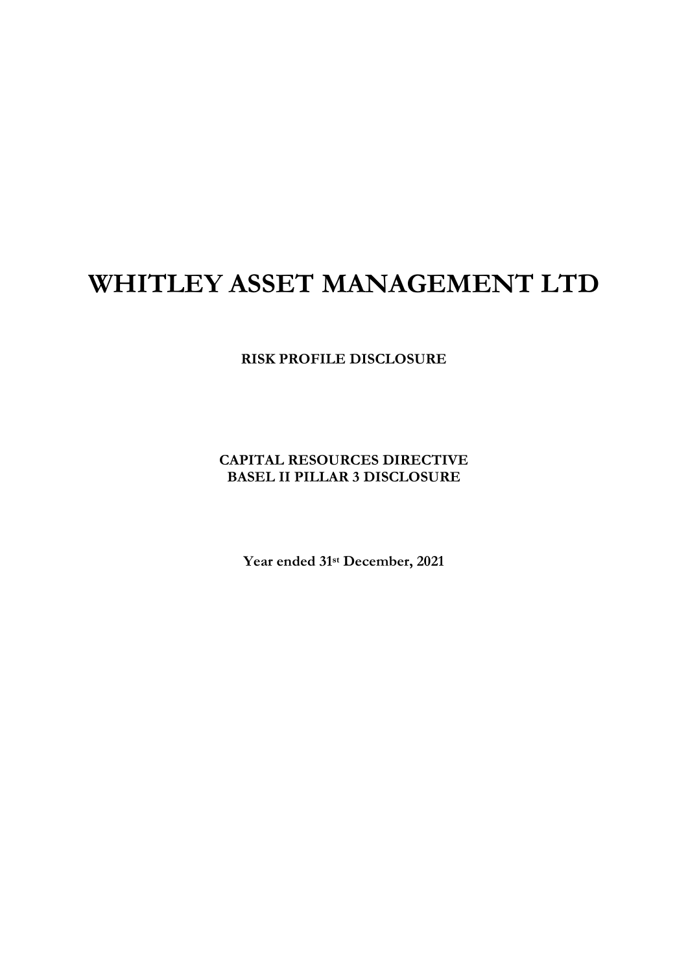# **WHITLEY ASSET MANAGEMENT LTD**

**RISK PROFILE DISCLOSURE**

**CAPITAL RESOURCES DIRECTIVE BASEL II PILLAR 3 DISCLOSURE**

**Year ended 31st December, 2021**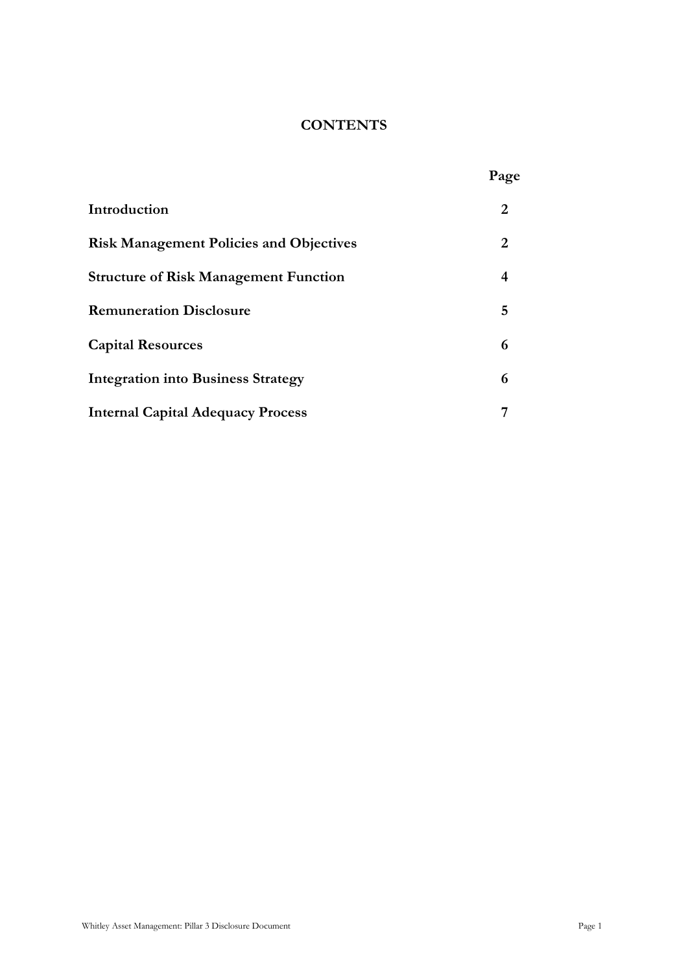# **CONTENTS**

|                                                | Page |
|------------------------------------------------|------|
| Introduction                                   | 2    |
| <b>Risk Management Policies and Objectives</b> | 2    |
| <b>Structure of Risk Management Function</b>   | 4    |
| <b>Remuneration Disclosure</b>                 | 5    |
| <b>Capital Resources</b>                       | 6    |
| <b>Integration into Business Strategy</b>      | 6    |
| <b>Internal Capital Adequacy Process</b>       |      |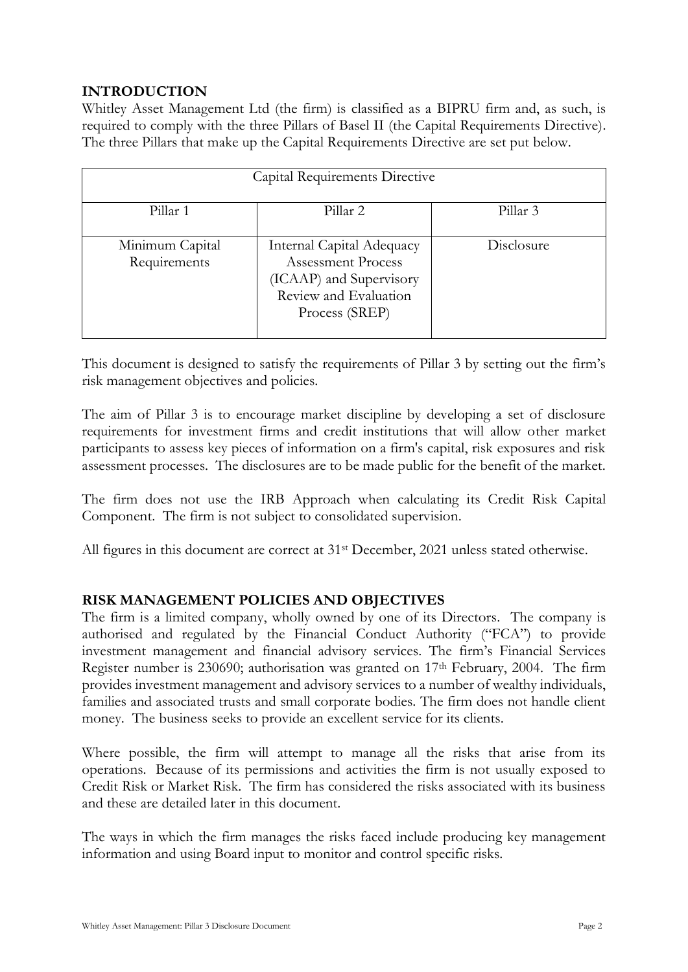# **INTRODUCTION**

Whitley Asset Management Ltd (the firm) is classified as a BIPRU firm and, as such, is required to comply with the three Pillars of Basel II (the Capital Requirements Directive). The three Pillars that make up the Capital Requirements Directive are set put below.

| Capital Requirements Directive  |                                                                                                                              |            |  |
|---------------------------------|------------------------------------------------------------------------------------------------------------------------------|------------|--|
| Pillar 1                        | Pillar 2                                                                                                                     | Pillar 3   |  |
| Minimum Capital<br>Requirements | Internal Capital Adequacy<br><b>Assessment Process</b><br>(ICAAP) and Supervisory<br>Review and Evaluation<br>Process (SREP) | Disclosure |  |

This document is designed to satisfy the requirements of Pillar 3 by setting out the firm's risk management objectives and policies.

The aim of Pillar 3 is to encourage market discipline by developing a set of disclosure requirements for investment firms and credit institutions that will allow other market participants to assess key pieces of information on a firm's capital, risk exposures and risk assessment processes. The disclosures are to be made public for the benefit of the market.

The firm does not use the IRB Approach when calculating its Credit Risk Capital Component. The firm is not subject to consolidated supervision.

All figures in this document are correct at 31<sup>st</sup> December, 2021 unless stated otherwise.

# **RISK MANAGEMENT POLICIES AND OBJECTIVES**

The firm is a limited company, wholly owned by one of its Directors. The company is authorised and regulated by the Financial Conduct Authority ("FCA") to provide investment management and financial advisory services. The firm's Financial Services Register number is 230690; authorisation was granted on 17th February, 2004. The firm provides investment management and advisory services to a number of wealthy individuals, families and associated trusts and small corporate bodies. The firm does not handle client money. The business seeks to provide an excellent service for its clients.

Where possible, the firm will attempt to manage all the risks that arise from its operations. Because of its permissions and activities the firm is not usually exposed to Credit Risk or Market Risk. The firm has considered the risks associated with its business and these are detailed later in this document.

The ways in which the firm manages the risks faced include producing key management information and using Board input to monitor and control specific risks.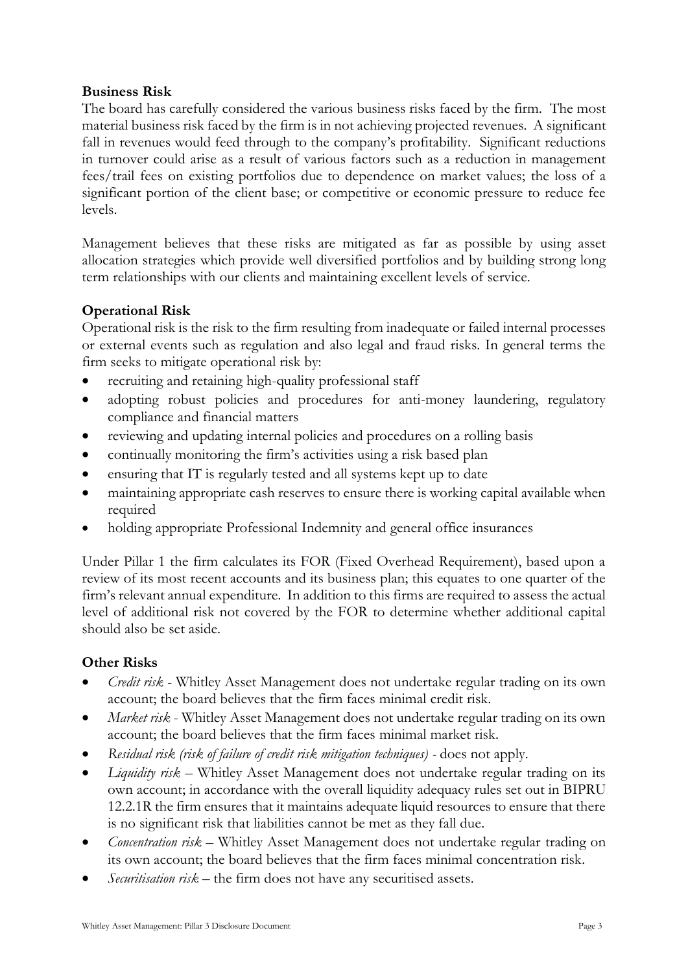## **Business Risk**

The board has carefully considered the various business risks faced by the firm. The most material business risk faced by the firm is in not achieving projected revenues. A significant fall in revenues would feed through to the company's profitability. Significant reductions in turnover could arise as a result of various factors such as a reduction in management fees/trail fees on existing portfolios due to dependence on market values; the loss of a significant portion of the client base; or competitive or economic pressure to reduce fee levels.

Management believes that these risks are mitigated as far as possible by using asset allocation strategies which provide well diversified portfolios and by building strong long term relationships with our clients and maintaining excellent levels of service.

# **Operational Risk**

Operational risk is the risk to the firm resulting from inadequate or failed internal processes or external events such as regulation and also legal and fraud risks. In general terms the firm seeks to mitigate operational risk by:

- recruiting and retaining high-quality professional staff
- adopting robust policies and procedures for anti-money laundering, regulatory compliance and financial matters
- reviewing and updating internal policies and procedures on a rolling basis
- continually monitoring the firm's activities using a risk based plan
- ensuring that IT is regularly tested and all systems kept up to date
- maintaining appropriate cash reserves to ensure there is working capital available when required
- holding appropriate Professional Indemnity and general office insurances

Under Pillar 1 the firm calculates its FOR (Fixed Overhead Requirement), based upon a review of its most recent accounts and its business plan; this equates to one quarter of the firm's relevant annual expenditure. In addition to this firms are required to assess the actual level of additional risk not covered by the FOR to determine whether additional capital should also be set aside.

# **Other Risks**

- *Credit risk* Whitley Asset Management does not undertake regular trading on its own account; the board believes that the firm faces minimal credit risk.
- *Market risk*  Whitley Asset Management does not undertake regular trading on its own account; the board believes that the firm faces minimal market risk.
- *Residual risk (risk of failure of credit risk mitigation techniques) -* does not apply.
- *Liquidity risk* Whitley Asset Management does not undertake regular trading on its own account; in accordance with the overall liquidity adequacy rules set out in BIPRU 12.2.1R the firm ensures that it maintains adequate liquid resources to ensure that there is no significant risk that liabilities cannot be met as they fall due.
- *Concentration risk* Whitley Asset Management does not undertake regular trading on its own account; the board believes that the firm faces minimal concentration risk.
- *Securitisation risk –* the firm does not have any securitised assets.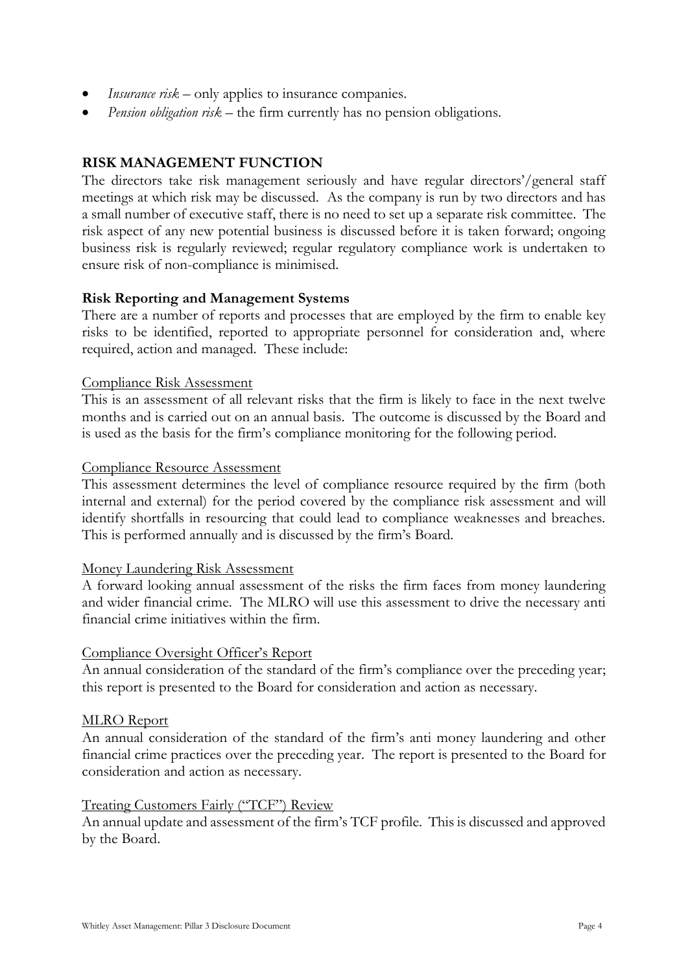- *Insurance risk* only applies to insurance companies.
- *Pension obligation risk* the firm currently has no pension obligations.

## **RISK MANAGEMENT FUNCTION**

The directors take risk management seriously and have regular directors'/general staff meetings at which risk may be discussed. As the company is run by two directors and has a small number of executive staff, there is no need to set up a separate risk committee. The risk aspect of any new potential business is discussed before it is taken forward; ongoing business risk is regularly reviewed; regular regulatory compliance work is undertaken to ensure risk of non-compliance is minimised.

#### **Risk Reporting and Management Systems**

There are a number of reports and processes that are employed by the firm to enable key risks to be identified, reported to appropriate personnel for consideration and, where required, action and managed. These include:

#### Compliance Risk Assessment

This is an assessment of all relevant risks that the firm is likely to face in the next twelve months and is carried out on an annual basis. The outcome is discussed by the Board and is used as the basis for the firm's compliance monitoring for the following period.

#### Compliance Resource Assessment

This assessment determines the level of compliance resource required by the firm (both internal and external) for the period covered by the compliance risk assessment and will identify shortfalls in resourcing that could lead to compliance weaknesses and breaches. This is performed annually and is discussed by the firm's Board.

#### Money Laundering Risk Assessment

A forward looking annual assessment of the risks the firm faces from money laundering and wider financial crime. The MLRO will use this assessment to drive the necessary anti financial crime initiatives within the firm.

#### Compliance Oversight Officer's Report

An annual consideration of the standard of the firm's compliance over the preceding year; this report is presented to the Board for consideration and action as necessary.

#### MLRO Report

An annual consideration of the standard of the firm's anti money laundering and other financial crime practices over the preceding year. The report is presented to the Board for consideration and action as necessary.

#### Treating Customers Fairly ("TCF") Review

An annual update and assessment of the firm's TCF profile. This is discussed and approved by the Board.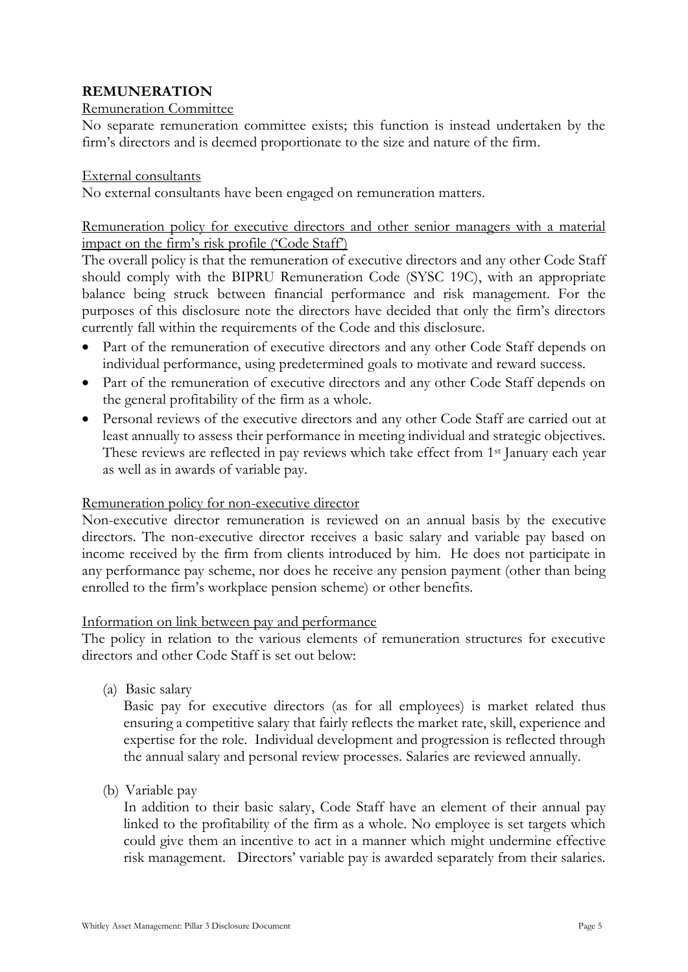# **REMUNERATION**

# Remuneration Committee

No separate remuneration committee exists; this function is instead undertaken by the firm's directors and is deemed proportionate to the size and nature of the firm.

## External consultants

No external consultants have been engaged on remuneration matters.

# Remuneration policy for executive directors and other senior managers with a material impact on the firm's risk profile ('Code Staff')

The overall policy is that the remuneration of executive directors and any other Code Staff should comply with the BIPRU Remuneration Code (SYSC 19C), with an appropriate balance being struck between financial performance and risk management. For the purposes of this disclosure note the directors have decided that only the firm's directors currently fall within the requirements of the Code and this disclosure.

- Part of the remuneration of executive directors and any other Code Staff depends on individual performance, using predetermined goals to motivate and reward success.
- Part of the remuneration of executive directors and any other Code Staff depends on the general profitability of the firm as a whole.
- Personal reviews of the executive directors and any other Code Staff are carried out at least annually to assess their performance in meeting individual and strategic objectives. These reviews are reflected in pay reviews which take effect from 1st January each year as well as in awards of variable pay.

# Remuneration policy for non-executive director

Non-executive director remuneration is reviewed on an annual basis by the executive directors. The non-executive director receives a basic salary and variable pay based on income received by the firm from clients introduced by him. He does not participate in any performance pay scheme, nor does he receive any pension payment (other than being enrolled to the firm's workplace pension scheme) or other benefits.

## Information on link between pay and performance

The policy in relation to the various elements of remuneration structures for executive directors and other Code Staff is set out below:

(a) Basic salary

Basic pay for executive directors (as for all employees) is market related thus ensuring a competitive salary that fairly reflects the market rate, skill, experience and expertise for the role. Individual development and progression is reflected through the annual salary and personal review processes. Salaries are reviewed annually.

(b) Variable pay

In addition to their basic salary, Code Staff have an element of their annual pay linked to the profitability of the firm as a whole. No employee is set targets which could give them an incentive to act in a manner which might undermine effective risk management. Directors' variable pay is awarded separately from their salaries.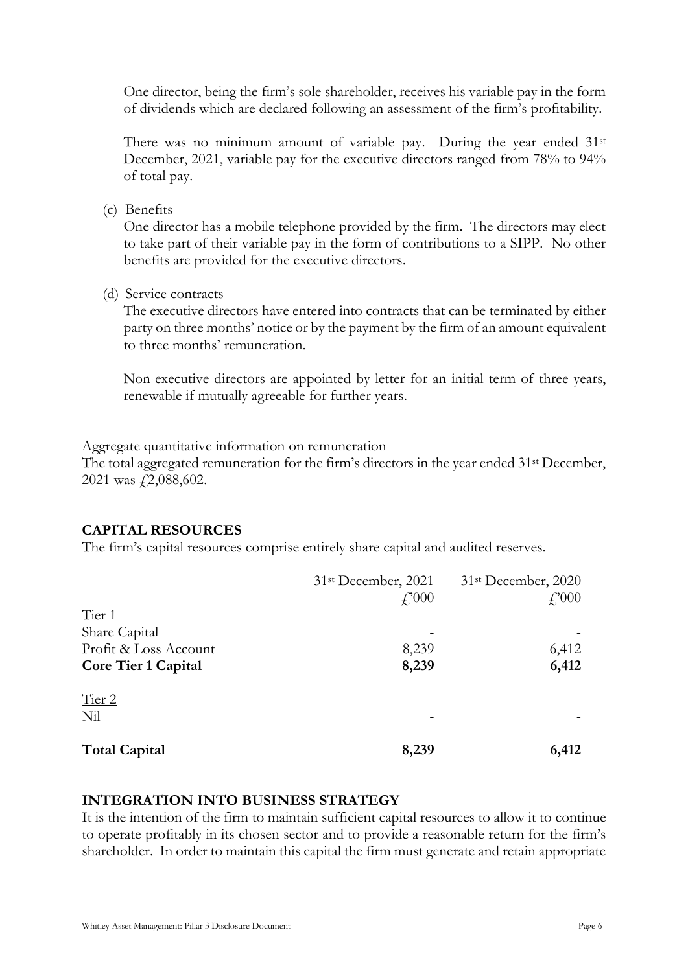One director, being the firm's sole shareholder, receives his variable pay in the form of dividends which are declared following an assessment of the firm's profitability.

There was no minimum amount of variable pay. During the year ended 31<sup>st</sup> December, 2021, variable pay for the executive directors ranged from 78% to 94% of total pay.

(c) Benefits

One director has a mobile telephone provided by the firm. The directors may elect to take part of their variable pay in the form of contributions to a SIPP. No other benefits are provided for the executive directors.

(d) Service contracts

The executive directors have entered into contracts that can be terminated by either party on three months' notice or by the payment by the firm of an amount equivalent to three months' remuneration.

Non-executive directors are appointed by letter for an initial term of three years, renewable if mutually agreeable for further years.

#### Aggregate quantitative information on remuneration

The total aggregated remuneration for the firm's directors in the year ended 31st December, 2021 was £2,088,602.

## **CAPITAL RESOURCES**

The firm's capital resources comprise entirely share capital and audited reserves.

|                            | 31 <sup>st</sup> December, 2021 | 31 <sup>st</sup> December, 2020 |
|----------------------------|---------------------------------|---------------------------------|
|                            | $f_{.}^{.000}$                  | $f_{.}^{.000}$                  |
| Tier 1                     |                                 |                                 |
| Share Capital              |                                 |                                 |
| Profit & Loss Account      | 8,239                           | 6,412                           |
| <b>Core Tier 1 Capital</b> | 8,239                           | 6,412                           |
| Tier 2                     |                                 |                                 |
| Nil                        |                                 |                                 |
| <b>Total Capital</b>       | 8,239                           | 6,412                           |

## **INTEGRATION INTO BUSINESS STRATEGY**

It is the intention of the firm to maintain sufficient capital resources to allow it to continue to operate profitably in its chosen sector and to provide a reasonable return for the firm's shareholder. In order to maintain this capital the firm must generate and retain appropriate